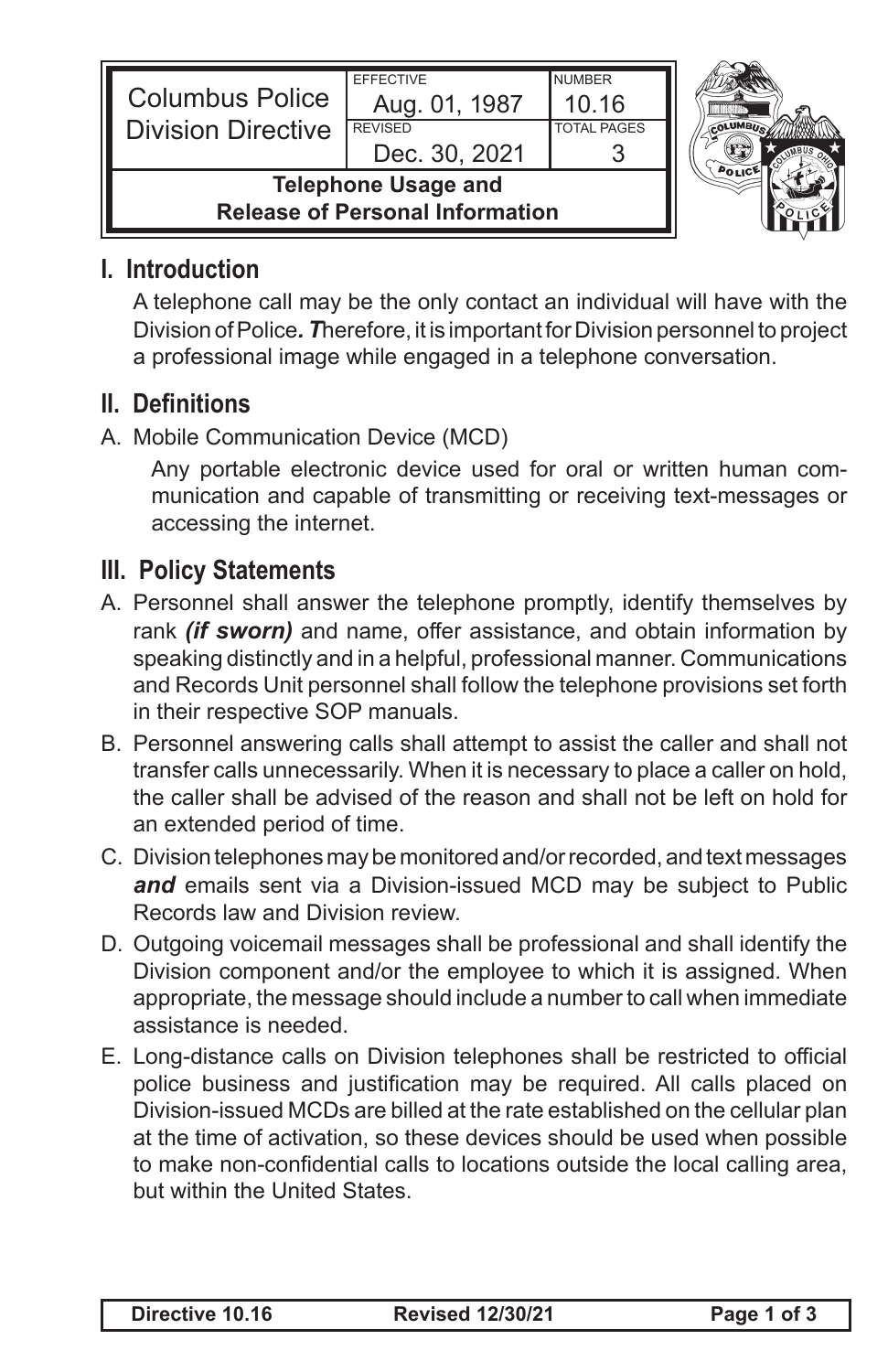| <b>Columbus Police</b><br><b>Division Directive</b>                  | <b>EFFECTIVE</b><br>Aug. 01, 1987<br><b>REVISED</b><br>Dec. 30, 2021 | <b>NUMBER</b><br>10.16<br><b>TOTAL PAGES</b> |  |
|----------------------------------------------------------------------|----------------------------------------------------------------------|----------------------------------------------|--|
| <b>Telephone Usage and</b><br><b>Release of Personal Information</b> |                                                                      |                                              |  |

## **I. Introduction**

A telephone call may be the only contact an individual will have with the Division of Police*. T*herefore, it is important for Division personnel to project a professional image while engaged in a telephone conversation.

## **II. Definitions**

A. Mobile Communication Device (MCD)

Any portable electronic device used for oral or written human communication and capable of transmitting or receiving text-messages or accessing the internet.

## **III. Policy Statements**

- A. Personnel shall answer the telephone promptly, identify themselves by rank *(if sworn)* and name, offer assistance, and obtain information by speaking distinctly and in a helpful, professional manner. Communications and Records Unit personnel shall follow the telephone provisions set forth in their respective SOP manuals.
- B. Personnel answering calls shall attempt to assist the caller and shall not transfer calls unnecessarily. When it is necessary to place a caller on hold, the caller shall be advised of the reason and shall not be left on hold for an extended period of time.
- C. Division telephones may be monitored and/or recorded, and text messages and emails sent via a Division-issued MCD may be subject to Public Records law and Division review.
- D. Outgoing voicemail messages shall be professional and shall identify the Division component and/or the employee to which it is assigned. When appropriate, the message should include a number to call when immediate assistance is needed.
- E. Long-distance calls on Division telephones shall be restricted to official police business and justification may be required. All calls placed on Division-issued MCDs are billed at the rate established on the cellular plan at the time of activation, so these devices should be used when possible to make non-confidential calls to locations outside the local calling area, but within the United States.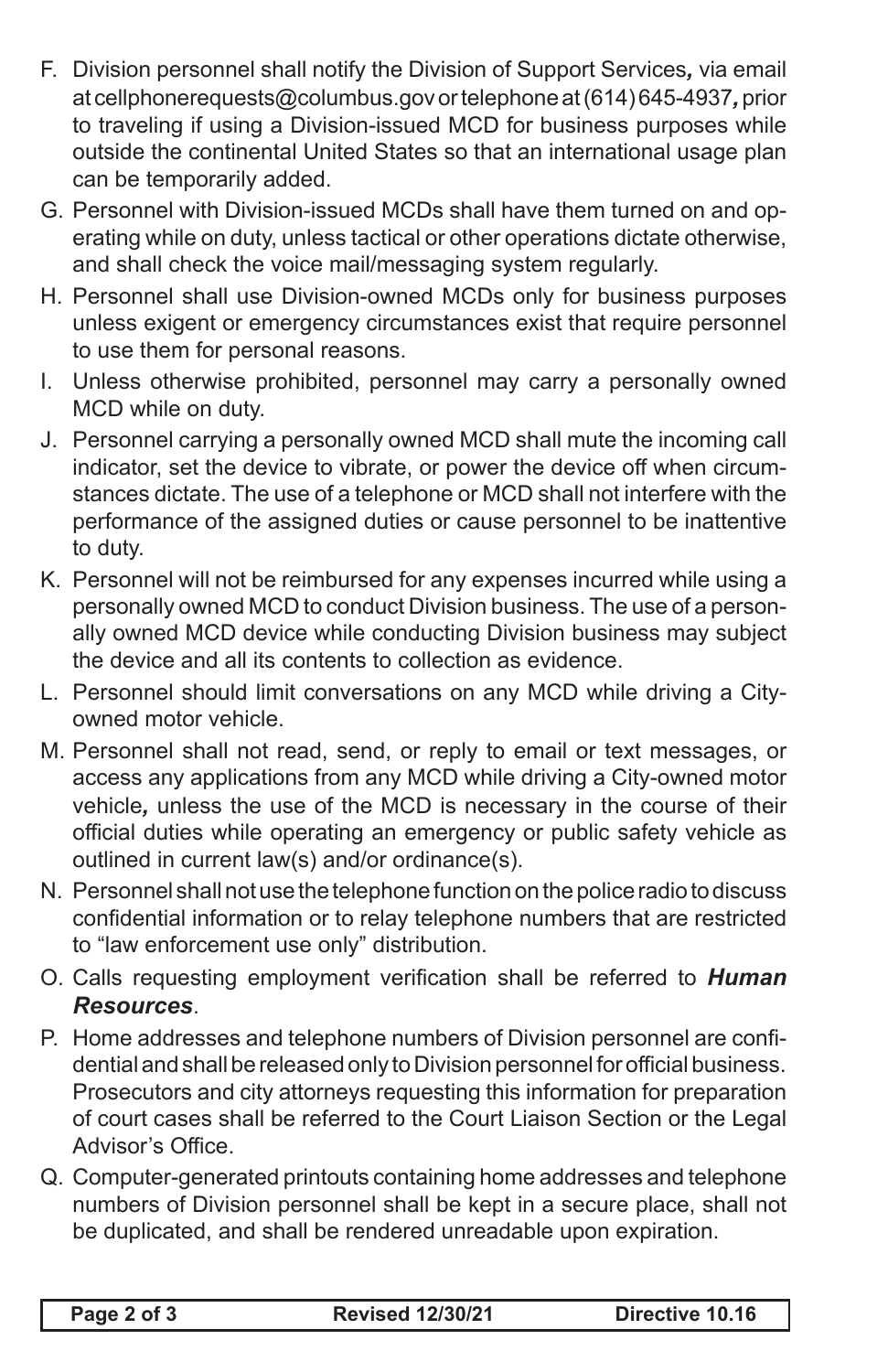- F. Division personnel shall notify the Division of Support Services*,* via email at cellphonerequests@columbus.gov or telephone at (614) 645-4937*,* prior to traveling if using a Division-issued MCD for business purposes while outside the continental United States so that an international usage plan can be temporarily added.
- G. Personnel with Division-issued MCDs shall have them turned on and operating while on duty, unless tactical or other operations dictate otherwise, and shall check the voice mail/messaging system regularly.
- H. Personnel shall use Division-owned MCDs only for business purposes unless exigent or emergency circumstances exist that require personnel to use them for personal reasons.
- I. Unless otherwise prohibited, personnel may carry a personally owned MCD while on duty.
- J. Personnel carrying a personally owned MCD shall mute the incoming call indicator, set the device to vibrate, or power the device off when circumstances dictate. The use of a telephone or MCD shall not interfere with the performance of the assigned duties or cause personnel to be inattentive to duty.
- K. Personnel will not be reimbursed for any expenses incurred while using a personally owned MCD to conduct Division business. The use of a personally owned MCD device while conducting Division business may subject the device and all its contents to collection as evidence.
- L. Personnel should limit conversations on any MCD while driving a Cityowned motor vehicle.
- M. Personnel shall not read, send, or reply to email or text messages, or access any applications from any MCD while driving a City-owned motor vehicle*,* unless the use of the MCD is necessary in the course of their official duties while operating an emergency or public safety vehicle as outlined in current law(s) and/or ordinance(s).
- N. Personnel shall not use the telephone function on the police radio to discuss confidential information or to relay telephone numbers that are restricted to "law enforcement use only" distribution.
- O. Calls requesting employment verification shall be referred to *Human Resources*.
- P. Home addresses and telephone numbers of Division personnel are confidential and shall be released only to Division personnel for official business. Prosecutors and city attorneys requesting this information for preparation of court cases shall be referred to the Court Liaison Section or the Legal Advisor's Office.
- Q. Computer-generated printouts containing home addresses and telephone numbers of Division personnel shall be kept in a secure place, shall not be duplicated, and shall be rendered unreadable upon expiration.